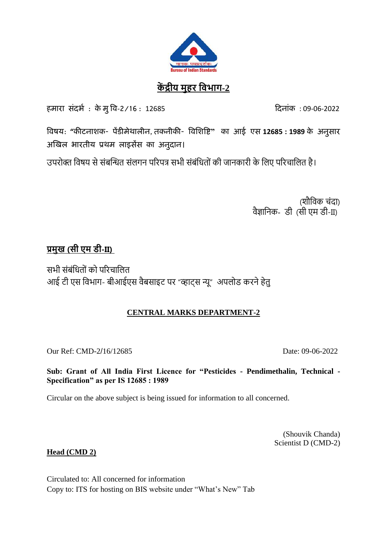

# **कें द्रीय मुहर विभाग-2**

हमारा संदर्भ : के मुवि-2/16 : 12685 ददनांक : 09-06-2022

**विषय: "कीटनाशक- पेंडीमेथालीन, तकनीकी- विशशवि" का आई एस 12685 : 1989 के अनुसार अखिल भारतीय प्रथम लाइसेंस का अनुदान।** 

उपरोक्त विषय से संबन्धित संलगन पररपत्र सभी संबंवितों की जानकारी के वलए पररचावलत है।

(शौविक चंदा) ैवज्ञानिक- डी (सी एम डी-II)

## **प्रमुख (सी एम डी-II)**

सभी संबंवितों को पररचावलत आई टी एस विभाग- बीआईएस वैबसाइट पर "व्हाट्स न्यू" अपलोड करने हेतु

### **CENTRAL MARKS DEPARTMENT-2**

Our Ref: CMD-2/16/12685 Date: 09-06-2022

**Sub: Grant of All India First Licence for "Pesticides - Pendimethalin, Technical - Specification" as per IS 12685 : 1989**

Circular on the above subject is being issued for information to all concerned.

(Shouvik Chanda) Scientist D (CMD-2)

**Head (CMD 2)**

Circulated to: All concerned for information Copy to: ITS for hosting on BIS website under "What's New" Tab